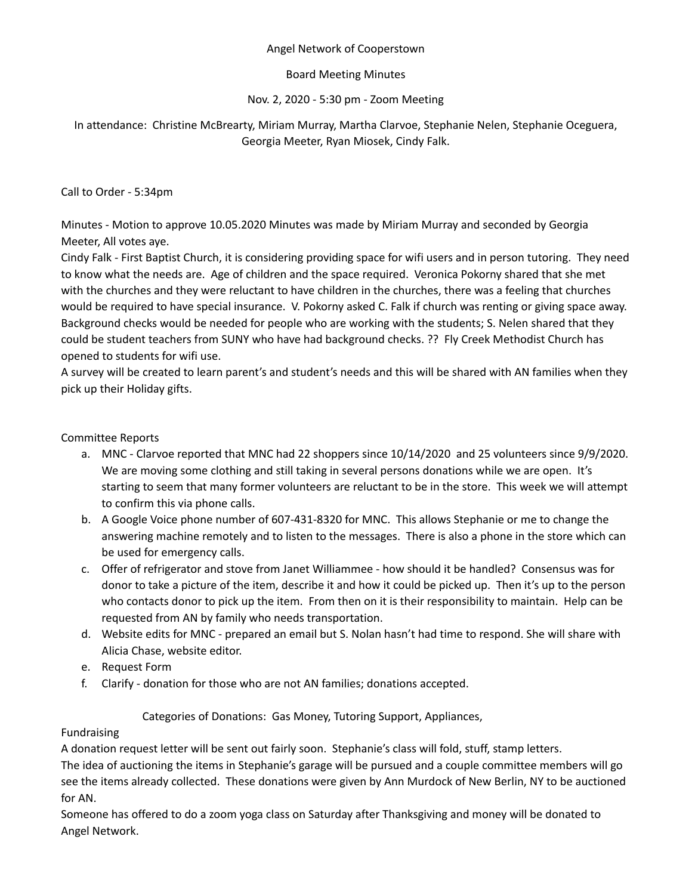### Angel Network of Cooperstown

# Board Meeting Minutes

# Nov. 2, 2020 - 5:30 pm - Zoom Meeting

# In attendance: Christine McBrearty, Miriam Murray, Martha Clarvoe, Stephanie Nelen, Stephanie Oceguera, Georgia Meeter, Ryan Miosek, Cindy Falk.

### Call to Order - 5:34pm

Minutes - Motion to approve 10.05.2020 Minutes was made by Miriam Murray and seconded by Georgia Meeter, All votes aye.

Cindy Falk - First Baptist Church, it is considering providing space for wifi users and in person tutoring. They need to know what the needs are. Age of children and the space required. Veronica Pokorny shared that she met with the churches and they were reluctant to have children in the churches, there was a feeling that churches would be required to have special insurance. V. Pokorny asked C. Falk if church was renting or giving space away. Background checks would be needed for people who are working with the students; S. Nelen shared that they could be student teachers from SUNY who have had background checks. ?? Fly Creek Methodist Church has opened to students for wifi use.

A survey will be created to learn parent's and student's needs and this will be shared with AN families when they pick up their Holiday gifts.

### Committee Reports

- a. MNC Clarvoe reported that MNC had 22 shoppers since 10/14/2020 and 25 volunteers since 9/9/2020. We are moving some clothing and still taking in several persons donations while we are open. It's starting to seem that many former volunteers are reluctant to be in the store. This week we will attempt to confirm this via phone calls.
- b. A Google Voice phone number of 607-431-8320 for MNC. This allows Stephanie or me to change the answering machine remotely and to listen to the messages. There is also a phone in the store which can be used for emergency calls.
- c. Offer of refrigerator and stove from Janet Williammee how should it be handled? Consensus was for donor to take a picture of the item, describe it and how it could be picked up. Then it's up to the person who contacts donor to pick up the item. From then on it is their responsibility to maintain. Help can be requested from AN by family who needs transportation.
- d. Website edits for MNC prepared an email but S. Nolan hasn't had time to respond. She will share with Alicia Chase, website editor.
- e. Request Form
- f. Clarify donation for those who are not AN families; donations accepted.

# Categories of Donations: Gas Money, Tutoring Support, Appliances,

# Fundraising

A donation request letter will be sent out fairly soon. Stephanie's class will fold, stuff, stamp letters.

The idea of auctioning the items in Stephanie's garage will be pursued and a couple committee members will go see the items already collected. These donations were given by Ann Murdock of New Berlin, NY to be auctioned for AN.

Someone has offered to do a zoom yoga class on Saturday after Thanksgiving and money will be donated to Angel Network.